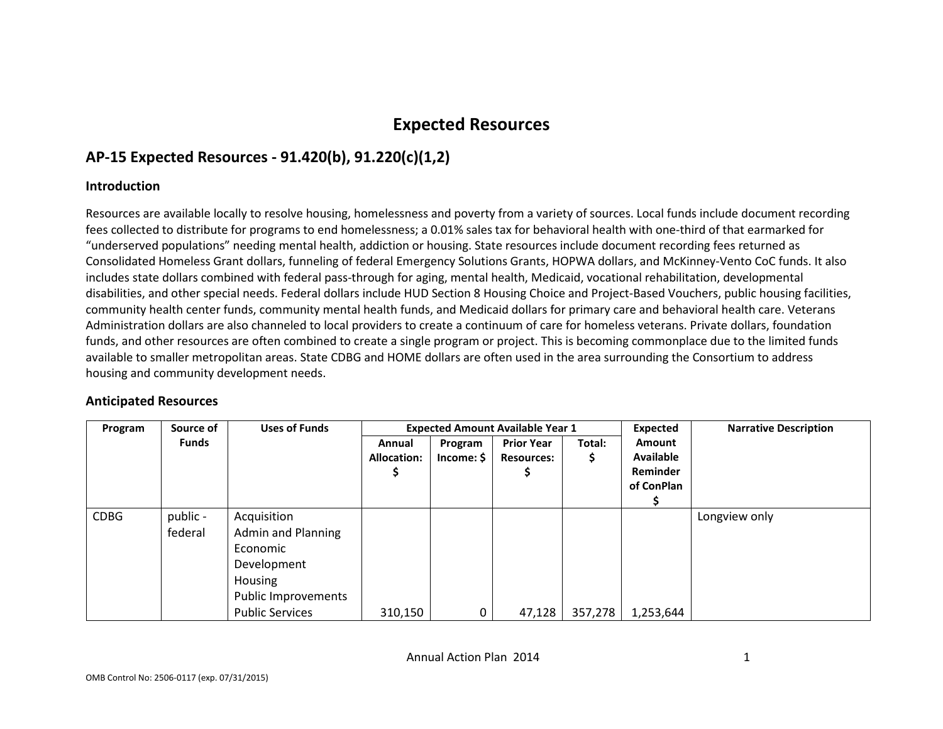# Expected Resources

# AP-15 Expected Resources - 91.420(b), 91.220(c)(1,2)

#### **Introduction**

Resources are available locally to resolve housing, homelessness and poverty from a variety of sources. Local funds include document recording fees collected to distribute for programs to end homelessness; a 0.01% sales tax for behavioral health with one-third of that earmarked for "underserved populations" needing mental health, addiction or housing. State resources include document recording fees returned as Consolidated Homeless Grant dollars, funneling of federal Emergency Solutions Grants, HOPWA dollars, and McKinney-Vento CoC funds. It also includes state dollars combined with federal pass-through for aging, mental health, Medicaid, vocational rehabilitation, developmental disabilities, and other special needs. Federal dollars include HUD Section 8 Housing Choice and Project-Based Vouchers, public housing facilities, community health center funds, community mental health funds, and Medicaid dollars for primary care and behavioral health care. Veterans Administration dollars are also channeled to local providers to create a continuum of care for homeless veterans. Private dollars, foundation funds, and other resources are often combined to create a single program or project. This is becoming commonplace due to the limited funds available to smaller metropolitan areas. State CDBG and HOME dollars are often used in the area surrounding the Consortium to address housing and community development needs.

#### Anticipated Resources

| Program     | Source of    | <b>Uses of Funds</b>   | <b>Expected Amount Available Year 1</b> |            |                   | Expected | <b>Narrative Description</b> |               |
|-------------|--------------|------------------------|-----------------------------------------|------------|-------------------|----------|------------------------------|---------------|
|             | <b>Funds</b> |                        | Annual                                  | Program    | <b>Prior Year</b> | Total:   | <b>Amount</b>                |               |
|             |              |                        | <b>Allocation:</b>                      | Income: \$ | <b>Resources:</b> | \$       | <b>Available</b>             |               |
|             |              |                        |                                         |            | э                 |          | Reminder                     |               |
|             |              |                        |                                         |            |                   |          | of ConPlan                   |               |
|             |              |                        |                                         |            |                   |          |                              |               |
| <b>CDBG</b> | public -     | Acquisition            |                                         |            |                   |          |                              | Longview only |
|             | federal      | Admin and Planning     |                                         |            |                   |          |                              |               |
|             |              | Economic               |                                         |            |                   |          |                              |               |
|             |              | Development            |                                         |            |                   |          |                              |               |
|             |              | Housing                |                                         |            |                   |          |                              |               |
|             |              | Public Improvements    |                                         |            |                   |          |                              |               |
|             |              | <b>Public Services</b> | 310,150                                 | 0          | 47,128            | 357,278  | 1,253,644                    |               |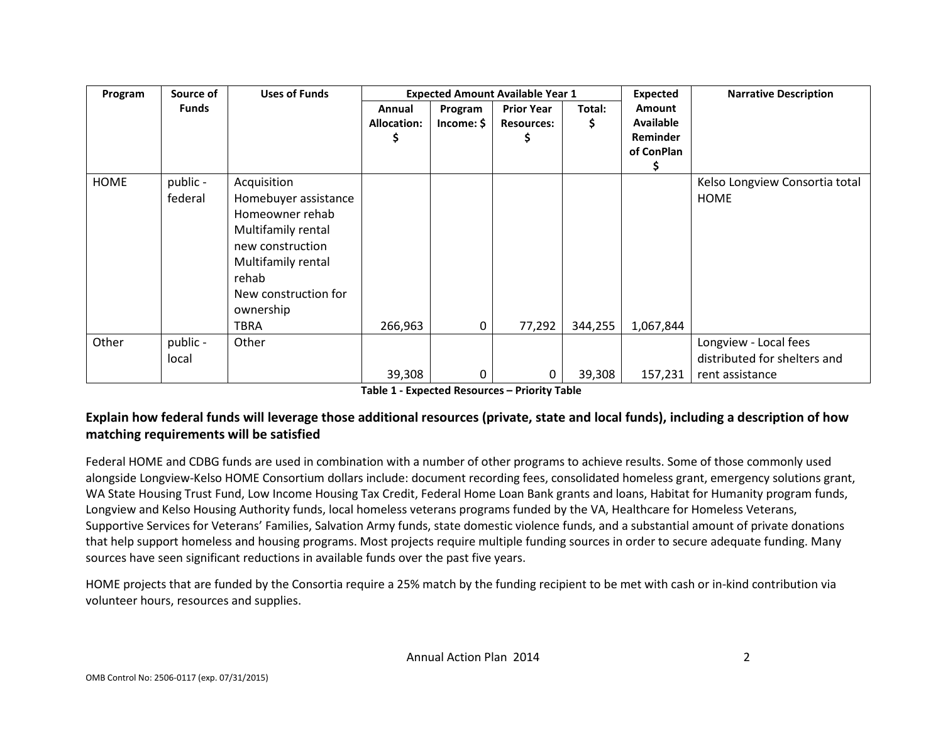| Program     | Source of           | <b>Uses of Funds</b>                                                                                                                                                         |                              | <b>Expected Amount Available Year 1</b> |                                             |              | Expected                               | <b>Narrative Description</b>                          |
|-------------|---------------------|------------------------------------------------------------------------------------------------------------------------------------------------------------------------------|------------------------------|-----------------------------------------|---------------------------------------------|--------------|----------------------------------------|-------------------------------------------------------|
|             | Funds               |                                                                                                                                                                              | Annual<br><b>Allocation:</b> | Program<br>Income: \$                   | <b>Prior Year</b><br><b>Resources:</b><br>¢ | Total:<br>Ş. | Amount<br><b>Available</b><br>Reminder |                                                       |
|             |                     |                                                                                                                                                                              |                              |                                         |                                             |              | of ConPlan                             |                                                       |
| <b>HOME</b> | public -<br>federal | Acquisition<br>Homebuyer assistance<br>Homeowner rehab<br>Multifamily rental<br>new construction<br>Multifamily rental<br>rehab<br>New construction for<br>ownership<br>TBRA | 266,963                      | $\mathbf 0$                             | 77,292                                      | 344,255      | 1,067,844                              | Kelso Longview Consortia total<br><b>HOME</b>         |
| Other       | public -<br>local   | Other                                                                                                                                                                        |                              |                                         |                                             |              |                                        | Longview - Local fees<br>distributed for shelters and |
|             |                     |                                                                                                                                                                              | 39,308                       | 0                                       | 0                                           | 39,308       | 157,231                                | rent assistance                                       |

Table 1 - Expected Resources – Priority Table

### Explain how federal funds will leverage those additional resources (private, state and local funds), including a description of how matching requirements will be satisfied

Federal HOME and CDBG funds are used in combination with a number of other programs to achieve results. Some of those commonly used alongside Longview-Kelso HOME Consortium dollars include: document recording fees, consolidated homeless grant, emergency solutions grant, WA State Housing Trust Fund, Low Income Housing Tax Credit, Federal Home Loan Bank grants and loans, Habitat for Humanity program funds, Longview and Kelso Housing Authority funds, local homeless veterans programs funded by the VA, Healthcare for Homeless Veterans, Supportive Services for Veterans' Families, Salvation Army funds, state domestic violence funds, and a substantial amount of private donations that help support homeless and housing programs. Most projects require multiple funding sources in order to secure adequate funding. Many sources have seen significant reductions in available funds over the past five years.

HOME projects that are funded by the Consortia require a 25% match by the funding recipient to be met with cash or in-kind contribution via volunteer hours, resources and supplies.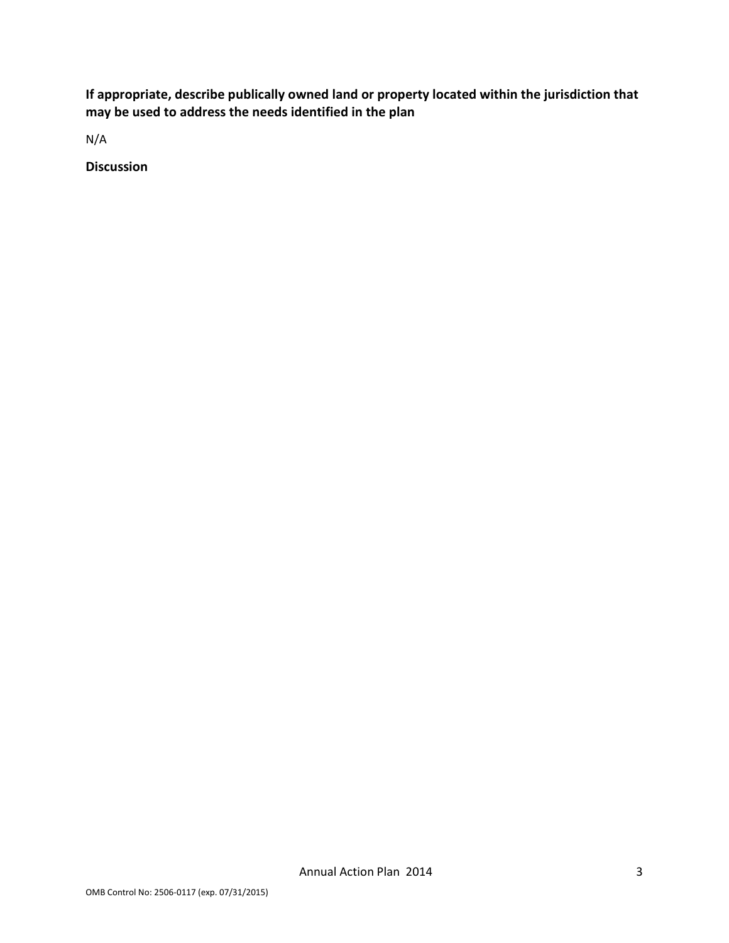If appropriate, describe publically owned land or property located within the jurisdiction that may be used to address the needs identified in the plan

N/A

Discussion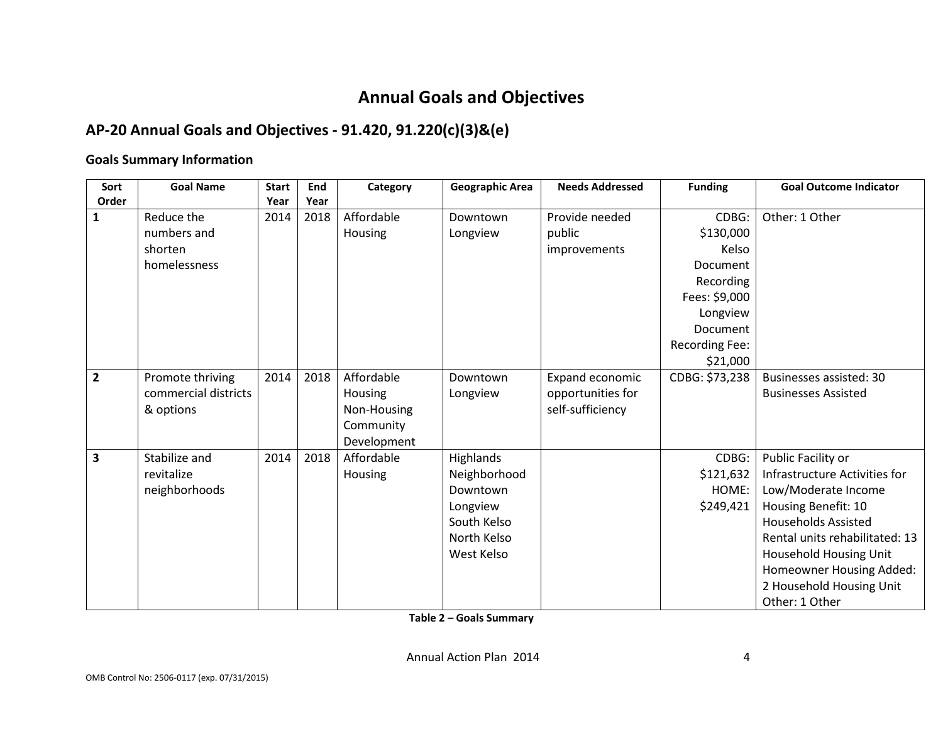# Annual Goals and Objectives

# AP-20 Annual Goals and Objectives - 91.420, 91.220(c)(3)&(e)

### Goals Summary Information

| Sort           | <b>Goal Name</b>     | <b>Start</b> | End  | Category    | <b>Geographic Area</b> | <b>Needs Addressed</b> | <b>Funding</b>  | <b>Goal Outcome Indicator</b>  |
|----------------|----------------------|--------------|------|-------------|------------------------|------------------------|-----------------|--------------------------------|
| Order          |                      | Year         | Year |             |                        |                        |                 |                                |
| 1              | Reduce the           | 2014         | 2018 | Affordable  | Downtown               | Provide needed         | CDBG:           | Other: 1 Other                 |
|                | numbers and          |              |      | Housing     | Longview               | public                 | \$130,000       |                                |
|                | shorten              |              |      |             |                        | improvements           | Kelso           |                                |
|                | homelessness         |              |      |             |                        |                        | Document        |                                |
|                |                      |              |      |             |                        |                        | Recording       |                                |
|                |                      |              |      |             |                        |                        | Fees: \$9,000   |                                |
|                |                      |              |      |             |                        |                        | Longview        |                                |
|                |                      |              |      |             |                        |                        | <b>Document</b> |                                |
|                |                      |              |      |             |                        |                        | Recording Fee:  |                                |
|                |                      |              |      |             |                        |                        | \$21,000        |                                |
| $\overline{2}$ | Promote thriving     | 2014         | 2018 | Affordable  | Downtown               | Expand economic        | CDBG: \$73,238  | Businesses assisted: 30        |
|                | commercial districts |              |      | Housing     | Longview               | opportunities for      |                 | <b>Businesses Assisted</b>     |
|                | & options            |              |      | Non-Housing |                        | self-sufficiency       |                 |                                |
|                |                      |              |      | Community   |                        |                        |                 |                                |
|                |                      |              |      | Development |                        |                        |                 |                                |
| 3              | Stabilize and        | 2014         | 2018 | Affordable  | <b>Highlands</b>       |                        | CDBG:           | Public Facility or             |
|                | revitalize           |              |      | Housing     | Neighborhood           |                        | \$121,632       | Infrastructure Activities for  |
|                | neighborhoods        |              |      |             | Downtown               |                        | HOME:           | Low/Moderate Income            |
|                |                      |              |      |             | Longview               |                        | \$249,421       | Housing Benefit: 10            |
|                |                      |              |      |             | South Kelso            |                        |                 | <b>Households Assisted</b>     |
|                |                      |              |      |             | North Kelso            |                        |                 | Rental units rehabilitated: 13 |
|                |                      |              |      |             | West Kelso             |                        |                 | Household Housing Unit         |
|                |                      |              |      |             |                        |                        |                 | Homeowner Housing Added:       |
|                |                      |              |      |             |                        |                        |                 | 2 Household Housing Unit       |
|                |                      |              |      |             |                        |                        |                 | Other: 1 Other                 |

Table 2 – Goals Summary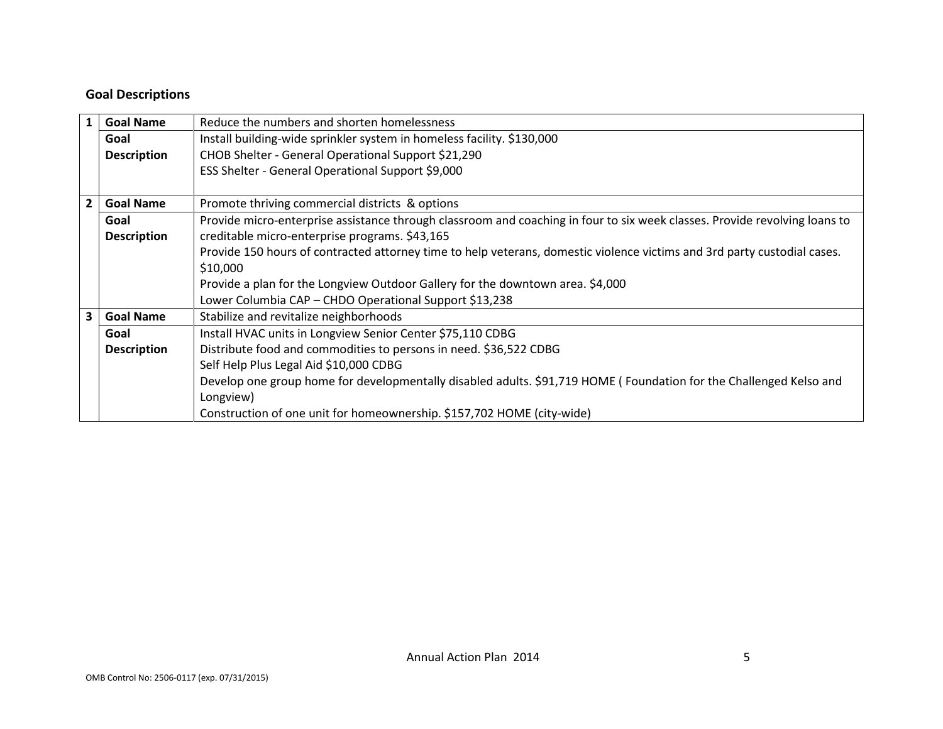### Goal Descriptions

| 1              | <b>Goal Name</b>                                                                        | Reduce the numbers and shorten homelessness                                                                                |  |
|----------------|-----------------------------------------------------------------------------------------|----------------------------------------------------------------------------------------------------------------------------|--|
|                | Goal                                                                                    | Install building-wide sprinkler system in homeless facility. \$130,000                                                     |  |
|                | <b>Description</b>                                                                      | CHOB Shelter - General Operational Support \$21,290                                                                        |  |
|                |                                                                                         | ESS Shelter - General Operational Support \$9,000                                                                          |  |
|                |                                                                                         |                                                                                                                            |  |
| 2 <sup>1</sup> | <b>Goal Name</b>                                                                        | Promote thriving commercial districts & options                                                                            |  |
|                | Goal                                                                                    | Provide micro-enterprise assistance through classroom and coaching in four to six week classes. Provide revolving loans to |  |
|                | <b>Description</b>                                                                      | creditable micro-enterprise programs. \$43,165                                                                             |  |
|                |                                                                                         | Provide 150 hours of contracted attorney time to help veterans, domestic violence victims and 3rd party custodial cases.   |  |
|                |                                                                                         | \$10,000                                                                                                                   |  |
|                |                                                                                         | Provide a plan for the Longview Outdoor Gallery for the downtown area. \$4,000                                             |  |
|                |                                                                                         | Lower Columbia CAP - CHDO Operational Support \$13,238                                                                     |  |
| 3 <sup>1</sup> | <b>Goal Name</b>                                                                        | Stabilize and revitalize neighborhoods                                                                                     |  |
|                | Goal                                                                                    | Install HVAC units in Longview Senior Center \$75,110 CDBG                                                                 |  |
|                | Distribute food and commodities to persons in need. \$36,522 CDBG<br><b>Description</b> |                                                                                                                            |  |
|                |                                                                                         | Self Help Plus Legal Aid \$10,000 CDBG                                                                                     |  |
|                |                                                                                         | Develop one group home for developmentally disabled adults. \$91,719 HOME (Foundation for the Challenged Kelso and         |  |
|                |                                                                                         | Longview)                                                                                                                  |  |
|                |                                                                                         | Construction of one unit for homeownership. \$157,702 HOME (city-wide)                                                     |  |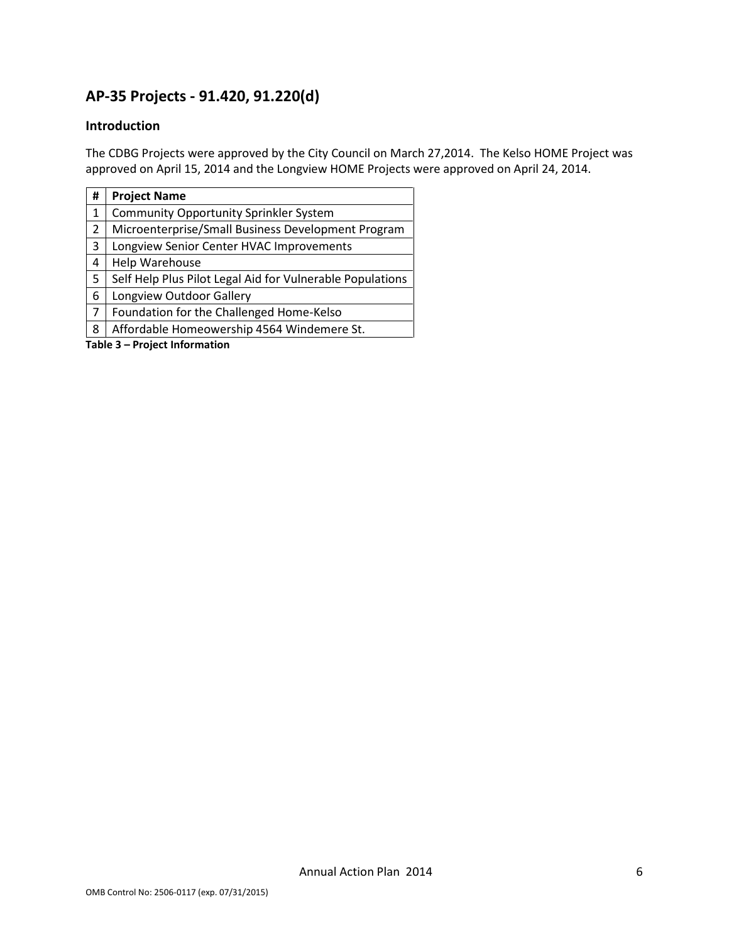## AP-35 Projects - 91.420, 91.220(d)

### Introduction

The CDBG Projects were approved by the City Council on March 27,2014. The Kelso HOME Project was approved on April 15, 2014 and the Longview HOME Projects were approved on April 24, 2014.

| #                             | <b>Project Name</b>                                       |  |  |  |  |  |
|-------------------------------|-----------------------------------------------------------|--|--|--|--|--|
| 1                             | <b>Community Opportunity Sprinkler System</b>             |  |  |  |  |  |
| 2                             | Microenterprise/Small Business Development Program        |  |  |  |  |  |
| 3                             | Longview Senior Center HVAC Improvements                  |  |  |  |  |  |
| 4                             | Help Warehouse                                            |  |  |  |  |  |
| 5                             | Self Help Plus Pilot Legal Aid for Vulnerable Populations |  |  |  |  |  |
| 6                             | Longview Outdoor Gallery                                  |  |  |  |  |  |
| 7                             | Foundation for the Challenged Home-Kelso                  |  |  |  |  |  |
| 8                             | Affordable Homeowership 4564 Windemere St.                |  |  |  |  |  |
| Table 3 - Project Information |                                                           |  |  |  |  |  |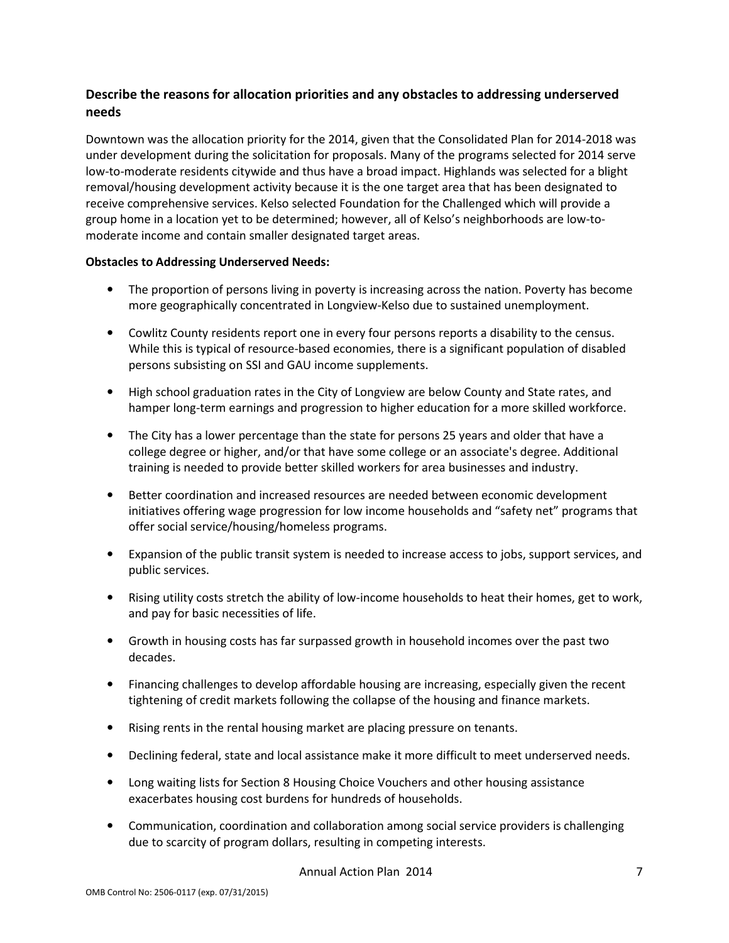### Describe the reasons for allocation priorities and any obstacles to addressing underserved needs

Downtown was the allocation priority for the 2014, given that the Consolidated Plan for 2014-2018 was under development during the solicitation for proposals. Many of the programs selected for 2014 serve low-to-moderate residents citywide and thus have a broad impact. Highlands was selected for a blight removal/housing development activity because it is the one target area that has been designated to receive comprehensive services. Kelso selected Foundation for the Challenged which will provide a group home in a location yet to be determined; however, all of Kelso's neighborhoods are low-tomoderate income and contain smaller designated target areas.

#### Obstacles to Addressing Underserved Needs:

- The proportion of persons living in poverty is increasing across the nation. Poverty has become more geographically concentrated in Longview-Kelso due to sustained unemployment.
- Cowlitz County residents report one in every four persons reports a disability to the census. While this is typical of resource-based economies, there is a significant population of disabled persons subsisting on SSI and GAU income supplements.
- High school graduation rates in the City of Longview are below County and State rates, and hamper long-term earnings and progression to higher education for a more skilled workforce.
- The City has a lower percentage than the state for persons 25 years and older that have a college degree or higher, and/or that have some college or an associate's degree. Additional training is needed to provide better skilled workers for area businesses and industry.
- Better coordination and increased resources are needed between economic development initiatives offering wage progression for low income households and "safety net" programs that offer social service/housing/homeless programs.
- Expansion of the public transit system is needed to increase access to jobs, support services, and public services.
- Rising utility costs stretch the ability of low-income households to heat their homes, get to work, and pay for basic necessities of life.
- Growth in housing costs has far surpassed growth in household incomes over the past two decades.
- Financing challenges to develop affordable housing are increasing, especially given the recent tightening of credit markets following the collapse of the housing and finance markets.
- Rising rents in the rental housing market are placing pressure on tenants.
- Declining federal, state and local assistance make it more difficult to meet underserved needs.
- Long waiting lists for Section 8 Housing Choice Vouchers and other housing assistance exacerbates housing cost burdens for hundreds of households.
- Communication, coordination and collaboration among social service providers is challenging due to scarcity of program dollars, resulting in competing interests.

Annual Action Plan 2014 **7**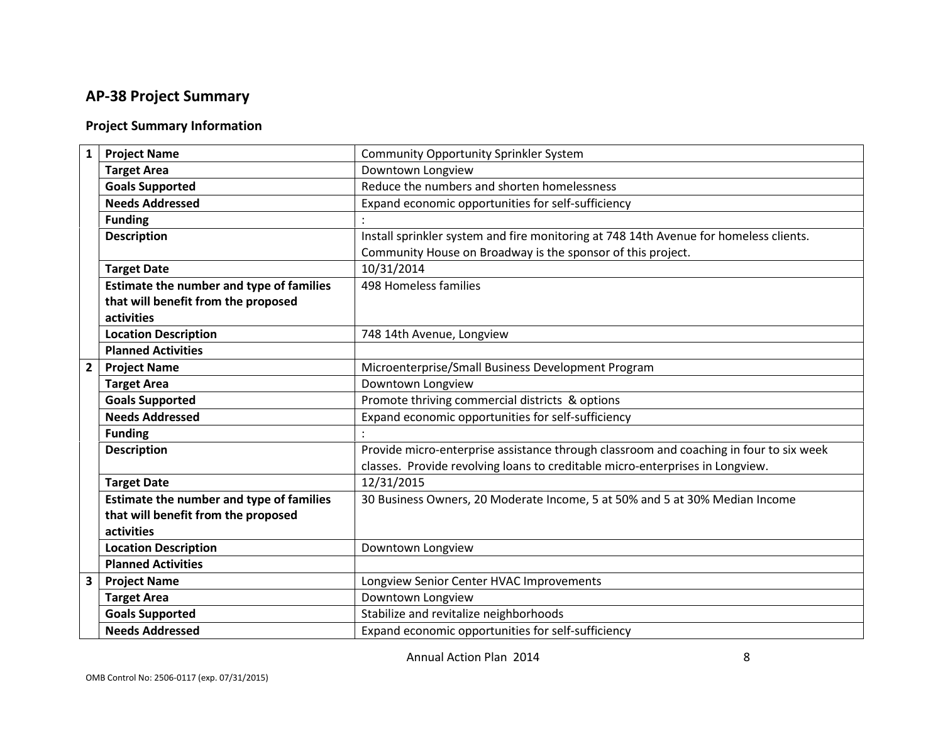## AP-38 Project Summary

### Project Summary Information

| $\mathbf{1}$            | <b>Project Name</b>                      | <b>Community Opportunity Sprinkler System</b>                                          |
|-------------------------|------------------------------------------|----------------------------------------------------------------------------------------|
|                         | <b>Target Area</b>                       | Downtown Longview                                                                      |
|                         | <b>Goals Supported</b>                   | Reduce the numbers and shorten homelessness                                            |
|                         | <b>Needs Addressed</b>                   | Expand economic opportunities for self-sufficiency                                     |
|                         | <b>Funding</b>                           |                                                                                        |
|                         | <b>Description</b>                       | Install sprinkler system and fire monitoring at 748 14th Avenue for homeless clients.  |
|                         |                                          | Community House on Broadway is the sponsor of this project.                            |
|                         | <b>Target Date</b>                       | 10/31/2014                                                                             |
|                         | Estimate the number and type of families | 498 Homeless families                                                                  |
|                         | that will benefit from the proposed      |                                                                                        |
|                         | activities                               |                                                                                        |
|                         | <b>Location Description</b>              | 748 14th Avenue, Longview                                                              |
|                         | <b>Planned Activities</b>                |                                                                                        |
| $\overline{2}$          | <b>Project Name</b>                      | Microenterprise/Small Business Development Program                                     |
|                         | <b>Target Area</b>                       | Downtown Longview                                                                      |
|                         | <b>Goals Supported</b>                   | Promote thriving commercial districts & options                                        |
|                         | <b>Needs Addressed</b>                   | Expand economic opportunities for self-sufficiency                                     |
|                         | <b>Funding</b>                           |                                                                                        |
|                         | <b>Description</b>                       | Provide micro-enterprise assistance through classroom and coaching in four to six week |
|                         |                                          | classes. Provide revolving loans to creditable micro-enterprises in Longview.          |
|                         | <b>Target Date</b>                       | 12/31/2015                                                                             |
|                         | Estimate the number and type of families | 30 Business Owners, 20 Moderate Income, 5 at 50% and 5 at 30% Median Income            |
|                         | that will benefit from the proposed      |                                                                                        |
|                         | activities                               |                                                                                        |
|                         | <b>Location Description</b>              | Downtown Longview                                                                      |
|                         | <b>Planned Activities</b>                |                                                                                        |
| $\overline{\mathbf{3}}$ | <b>Project Name</b>                      | Longview Senior Center HVAC Improvements                                               |
|                         | <b>Target Area</b>                       | Downtown Longview                                                                      |
|                         | <b>Goals Supported</b>                   | Stabilize and revitalize neighborhoods                                                 |
|                         | <b>Needs Addressed</b>                   | Expand economic opportunities for self-sufficiency                                     |
|                         |                                          |                                                                                        |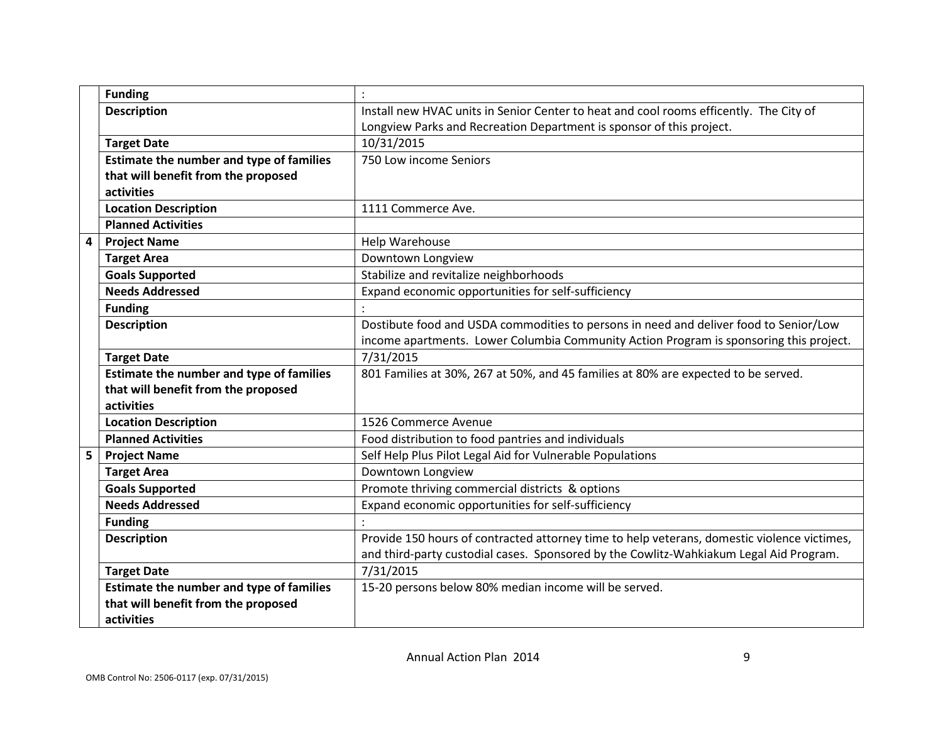|                         | <b>Funding</b>                           |                                                                                             |
|-------------------------|------------------------------------------|---------------------------------------------------------------------------------------------|
|                         | <b>Description</b>                       | Install new HVAC units in Senior Center to heat and cool rooms efficently. The City of      |
|                         |                                          | Longview Parks and Recreation Department is sponsor of this project.                        |
|                         | <b>Target Date</b>                       | 10/31/2015                                                                                  |
|                         | Estimate the number and type of families | 750 Low income Seniors                                                                      |
|                         | that will benefit from the proposed      |                                                                                             |
|                         | activities                               |                                                                                             |
|                         | <b>Location Description</b>              | 1111 Commerce Ave.                                                                          |
|                         | <b>Planned Activities</b>                |                                                                                             |
| $\overline{\mathbf{4}}$ | <b>Project Name</b>                      | Help Warehouse                                                                              |
|                         | <b>Target Area</b>                       | Downtown Longview                                                                           |
|                         | <b>Goals Supported</b>                   | Stabilize and revitalize neighborhoods                                                      |
|                         | <b>Needs Addressed</b>                   | Expand economic opportunities for self-sufficiency                                          |
|                         | <b>Funding</b>                           |                                                                                             |
|                         | <b>Description</b>                       | Dostibute food and USDA commodities to persons in need and deliver food to Senior/Low       |
|                         |                                          | income apartments. Lower Columbia Community Action Program is sponsoring this project.      |
|                         | <b>Target Date</b>                       | 7/31/2015                                                                                   |
|                         | Estimate the number and type of families | 801 Families at 30%, 267 at 50%, and 45 families at 80% are expected to be served.          |
|                         | that will benefit from the proposed      |                                                                                             |
|                         | activities                               |                                                                                             |
|                         | <b>Location Description</b>              | 1526 Commerce Avenue                                                                        |
|                         | <b>Planned Activities</b>                | Food distribution to food pantries and individuals                                          |
| 5                       | <b>Project Name</b>                      | Self Help Plus Pilot Legal Aid for Vulnerable Populations                                   |
|                         | <b>Target Area</b>                       | Downtown Longview                                                                           |
|                         | <b>Goals Supported</b>                   | Promote thriving commercial districts & options                                             |
|                         | <b>Needs Addressed</b>                   | Expand economic opportunities for self-sufficiency                                          |
|                         | <b>Funding</b>                           |                                                                                             |
|                         | <b>Description</b>                       | Provide 150 hours of contracted attorney time to help veterans, domestic violence victimes, |
|                         |                                          | and third-party custodial cases. Sponsored by the Cowlitz-Wahkiakum Legal Aid Program.      |
|                         | <b>Target Date</b>                       | 7/31/2015                                                                                   |
|                         | Estimate the number and type of families | 15-20 persons below 80% median income will be served.                                       |
|                         | that will benefit from the proposed      |                                                                                             |
|                         | activities                               |                                                                                             |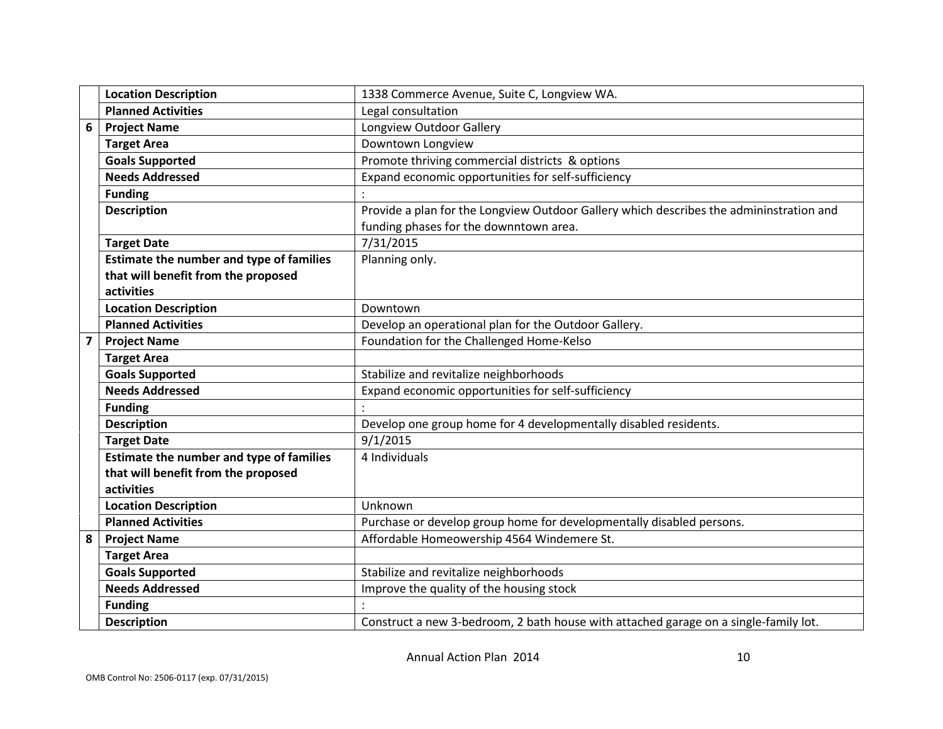|                | <b>Location Description</b>              | 1338 Commerce Avenue, Suite C, Longview WA.                                             |
|----------------|------------------------------------------|-----------------------------------------------------------------------------------------|
|                | <b>Planned Activities</b>                | Legal consultation                                                                      |
| 6              | <b>Project Name</b>                      | Longview Outdoor Gallery                                                                |
|                | <b>Target Area</b>                       | Downtown Longview                                                                       |
|                | <b>Goals Supported</b>                   | Promote thriving commercial districts & options                                         |
|                | <b>Needs Addressed</b>                   | Expand economic opportunities for self-sufficiency                                      |
|                | <b>Funding</b>                           |                                                                                         |
|                | <b>Description</b>                       | Provide a plan for the Longview Outdoor Gallery which describes the admininstration and |
|                |                                          | funding phases for the downntown area.                                                  |
|                | <b>Target Date</b>                       | 7/31/2015                                                                               |
|                | Estimate the number and type of families | Planning only.                                                                          |
|                | that will benefit from the proposed      |                                                                                         |
|                | activities                               |                                                                                         |
|                | <b>Location Description</b>              | Downtown                                                                                |
|                | <b>Planned Activities</b>                | Develop an operational plan for the Outdoor Gallery.                                    |
| $\overline{7}$ | <b>Project Name</b>                      | Foundation for the Challenged Home-Kelso                                                |
|                | <b>Target Area</b>                       |                                                                                         |
|                | <b>Goals Supported</b>                   | Stabilize and revitalize neighborhoods                                                  |
|                | <b>Needs Addressed</b>                   | Expand economic opportunities for self-sufficiency                                      |
|                | <b>Funding</b>                           |                                                                                         |
|                | <b>Description</b>                       | Develop one group home for 4 developmentally disabled residents.                        |
|                | <b>Target Date</b>                       | 9/1/2015                                                                                |
|                | Estimate the number and type of families | 4 Individuals                                                                           |
|                | that will benefit from the proposed      |                                                                                         |
|                | activities                               |                                                                                         |
|                | <b>Location Description</b>              | Unknown                                                                                 |
|                | <b>Planned Activities</b>                | Purchase or develop group home for developmentally disabled persons.                    |
| 8              | <b>Project Name</b>                      | Affordable Homeowership 4564 Windemere St.                                              |
|                | <b>Target Area</b>                       |                                                                                         |
|                | <b>Goals Supported</b>                   | Stabilize and revitalize neighborhoods                                                  |
|                | <b>Needs Addressed</b>                   | Improve the quality of the housing stock                                                |
|                | <b>Funding</b>                           |                                                                                         |
|                | <b>Description</b>                       | Construct a new 3-bedroom, 2 bath house with attached garage on a single-family lot.    |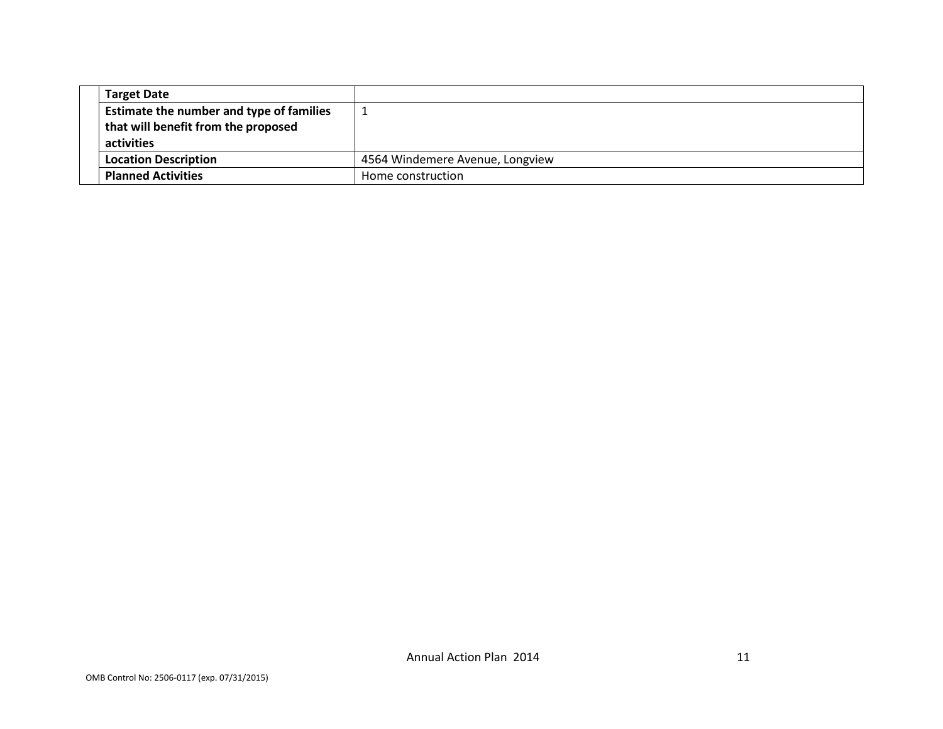| <b>Target Date</b>                       |                                 |
|------------------------------------------|---------------------------------|
| Estimate the number and type of families |                                 |
| that will benefit from the proposed      |                                 |
| activities                               |                                 |
| <b>Location Description</b>              | 4564 Windemere Avenue, Longview |
| <b>Planned Activities</b>                | Home construction               |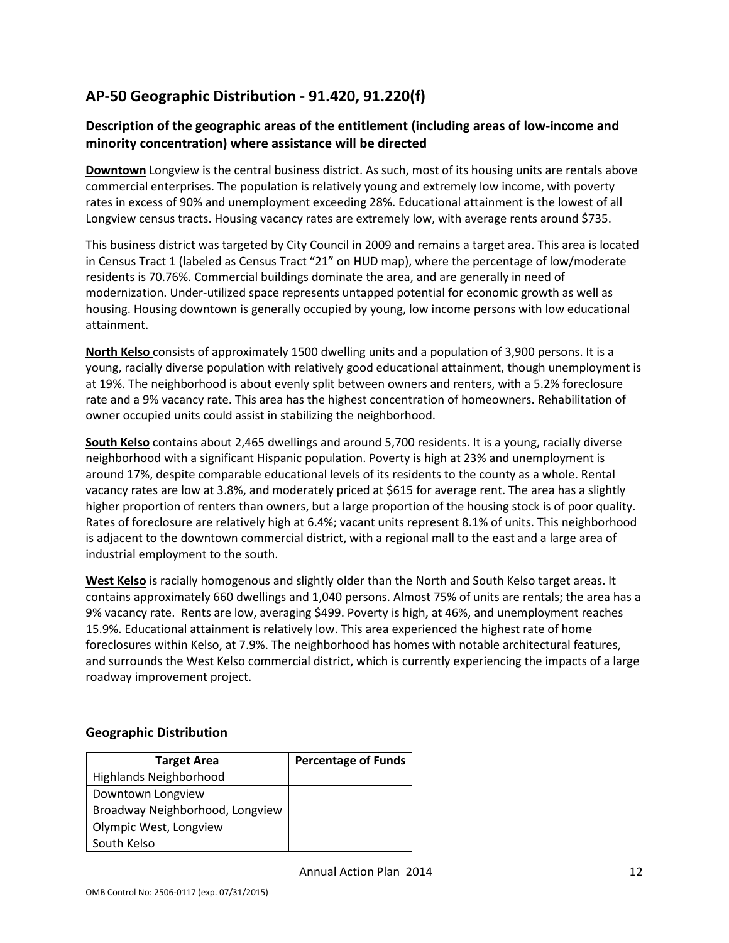# AP-50 Geographic Distribution - 91.420, 91.220(f)

#### Description of the geographic areas of the entitlement (including areas of low-income and minority concentration) where assistance will be directed

Downtown Longview is the central business district. As such, most of its housing units are rentals above commercial enterprises. The population is relatively young and extremely low income, with poverty rates in excess of 90% and unemployment exceeding 28%. Educational attainment is the lowest of all Longview census tracts. Housing vacancy rates are extremely low, with average rents around \$735.

This business district was targeted by City Council in 2009 and remains a target area. This area is located in Census Tract 1 (labeled as Census Tract "21" on HUD map), where the percentage of low/moderate residents is 70.76%. Commercial buildings dominate the area, and are generally in need of modernization. Under-utilized space represents untapped potential for economic growth as well as housing. Housing downtown is generally occupied by young, low income persons with low educational attainment.

North Kelso consists of approximately 1500 dwelling units and a population of 3,900 persons. It is a young, racially diverse population with relatively good educational attainment, though unemployment is at 19%. The neighborhood is about evenly split between owners and renters, with a 5.2% foreclosure rate and a 9% vacancy rate. This area has the highest concentration of homeowners. Rehabilitation of owner occupied units could assist in stabilizing the neighborhood.

South Kelso contains about 2,465 dwellings and around 5,700 residents. It is a young, racially diverse neighborhood with a significant Hispanic population. Poverty is high at 23% and unemployment is around 17%, despite comparable educational levels of its residents to the county as a whole. Rental vacancy rates are low at 3.8%, and moderately priced at \$615 for average rent. The area has a slightly higher proportion of renters than owners, but a large proportion of the housing stock is of poor quality. Rates of foreclosure are relatively high at 6.4%; vacant units represent 8.1% of units. This neighborhood is adjacent to the downtown commercial district, with a regional mall to the east and a large area of industrial employment to the south.

West Kelso is racially homogenous and slightly older than the North and South Kelso target areas. It contains approximately 660 dwellings and 1,040 persons. Almost 75% of units are rentals; the area has a 9% vacancy rate. Rents are low, averaging \$499. Poverty is high, at 46%, and unemployment reaches 15.9%. Educational attainment is relatively low. This area experienced the highest rate of home foreclosures within Kelso, at 7.9%. The neighborhood has homes with notable architectural features, and surrounds the West Kelso commercial district, which is currently experiencing the impacts of a large roadway improvement project.

#### Geographic Distribution

| <b>Target Area</b>              | <b>Percentage of Funds</b> |
|---------------------------------|----------------------------|
| <b>Highlands Neighborhood</b>   |                            |
| Downtown Longview               |                            |
| Broadway Neighborhood, Longview |                            |
| Olympic West, Longview          |                            |
| South Kelso                     |                            |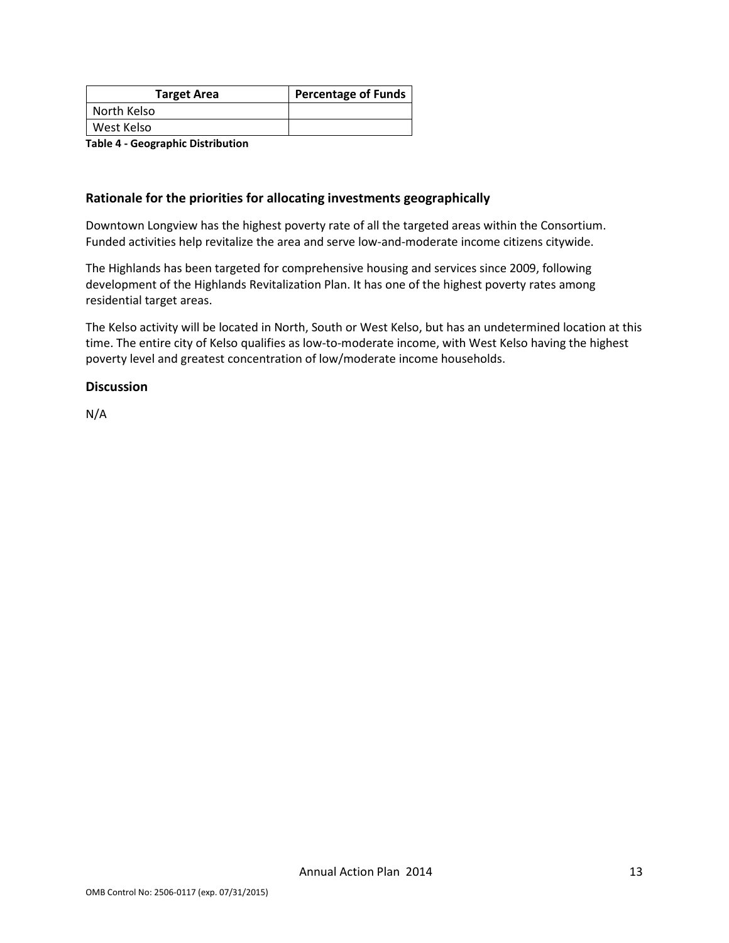| <b>Target Area</b> | <b>Percentage of Funds</b> |
|--------------------|----------------------------|
| North Kelso        |                            |
| West Kelso         |                            |
| _ _ _<br>.         |                            |

Table 4 - Geographic Distribution

#### Rationale for the priorities for allocating investments geographically

Downtown Longview has the highest poverty rate of all the targeted areas within the Consortium. Funded activities help revitalize the area and serve low-and-moderate income citizens citywide.

The Highlands has been targeted for comprehensive housing and services since 2009, following development of the Highlands Revitalization Plan. It has one of the highest poverty rates among residential target areas.

The Kelso activity will be located in North, South or West Kelso, but has an undetermined location at this time. The entire city of Kelso qualifies as low-to-moderate income, with West Kelso having the highest poverty level and greatest concentration of low/moderate income households.

#### **Discussion**

N/A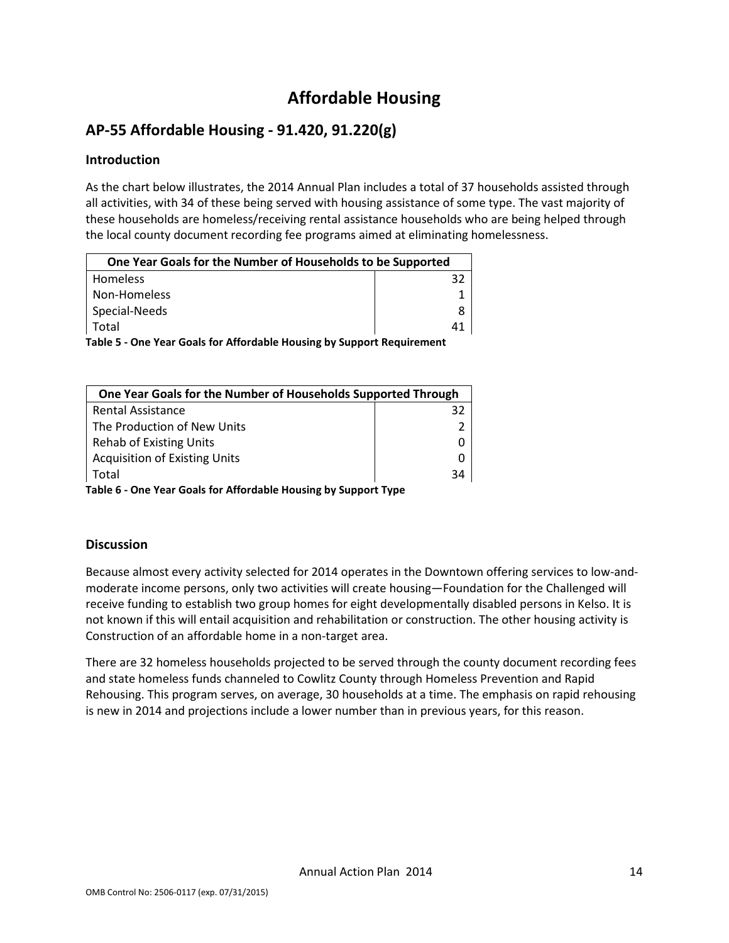# Affordable Housing

# AP-55 Affordable Housing - 91.420, 91.220(g)

### Introduction

As the chart below illustrates, the 2014 Annual Plan includes a total of 37 households assisted through all activities, with 34 of these being served with housing assistance of some type. The vast majority of these households are homeless/receiving rental assistance households who are being helped through the local county document recording fee programs aimed at eliminating homelessness.

| One Year Goals for the Number of Households to be Supported            |  |  |  |  |
|------------------------------------------------------------------------|--|--|--|--|
| Homeless                                                               |  |  |  |  |
| Non-Homeless                                                           |  |  |  |  |
| Special-Needs                                                          |  |  |  |  |
| Total                                                                  |  |  |  |  |
| Table 5 - One Year Goals for Affordable Housing by Support Requirement |  |  |  |  |

| One Year Goals for the Number of Households Supported Through  |    |
|----------------------------------------------------------------|----|
| <b>Rental Assistance</b>                                       | 32 |
| The Production of New Units                                    |    |
| <b>Rehab of Existing Units</b>                                 |    |
| <b>Acquisition of Existing Units</b>                           |    |
| Total                                                          | 34 |
| Table C. One Vesu Ceals fou Affondable Housing by Cunnaut Tune |    |

Table 6 - One Year Goals for Affordable Housing by Support Type

#### **Discussion**

Because almost every activity selected for 2014 operates in the Downtown offering services to low-andmoderate income persons, only two activities will create housing—Foundation for the Challenged will receive funding to establish two group homes for eight developmentally disabled persons in Kelso. It is not known if this will entail acquisition and rehabilitation or construction. The other housing activity is Construction of an affordable home in a non-target area.

There are 32 homeless households projected to be served through the county document recording fees and state homeless funds channeled to Cowlitz County through Homeless Prevention and Rapid Rehousing. This program serves, on average, 30 households at a time. The emphasis on rapid rehousing is new in 2014 and projections include a lower number than in previous years, for this reason.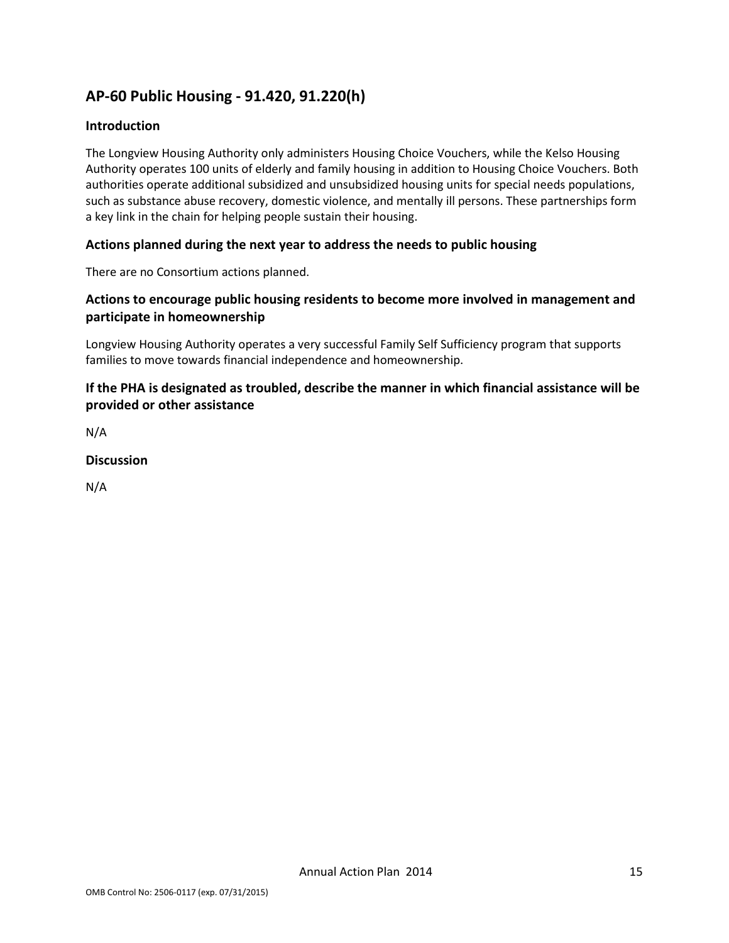## AP-60 Public Housing - 91.420, 91.220(h)

#### Introduction

The Longview Housing Authority only administers Housing Choice Vouchers, while the Kelso Housing Authority operates 100 units of elderly and family housing in addition to Housing Choice Vouchers. Both authorities operate additional subsidized and unsubsidized housing units for special needs populations, such as substance abuse recovery, domestic violence, and mentally ill persons. These partnerships form a key link in the chain for helping people sustain their housing.

#### Actions planned during the next year to address the needs to public housing

There are no Consortium actions planned.

### Actions to encourage public housing residents to become more involved in management and participate in homeownership

Longview Housing Authority operates a very successful Family Self Sufficiency program that supports families to move towards financial independence and homeownership.

### If the PHA is designated as troubled, describe the manner in which financial assistance will be provided or other assistance

N/A

#### Discussion

N/A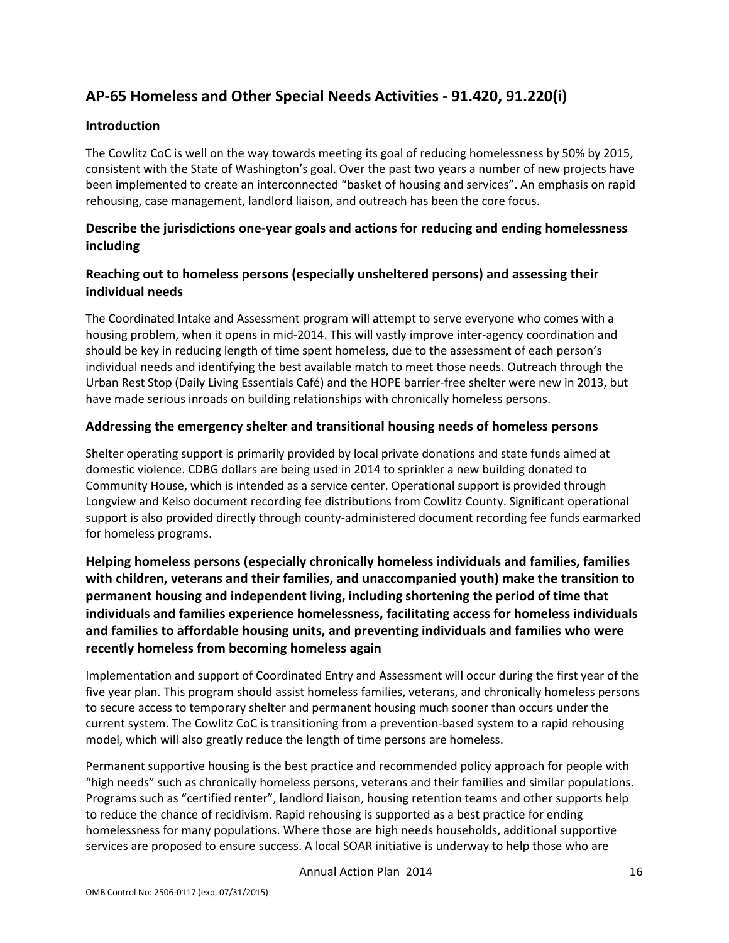# AP-65 Homeless and Other Special Needs Activities - 91.420, 91.220(i)

#### Introduction

The Cowlitz CoC is well on the way towards meeting its goal of reducing homelessness by 50% by 2015, consistent with the State of Washington's goal. Over the past two years a number of new projects have been implemented to create an interconnected "basket of housing and services". An emphasis on rapid rehousing, case management, landlord liaison, and outreach has been the core focus.

### Describe the jurisdictions one-year goals and actions for reducing and ending homelessness including

### Reaching out to homeless persons (especially unsheltered persons) and assessing their individual needs

The Coordinated Intake and Assessment program will attempt to serve everyone who comes with a housing problem, when it opens in mid-2014. This will vastly improve inter-agency coordination and should be key in reducing length of time spent homeless, due to the assessment of each person's individual needs and identifying the best available match to meet those needs. Outreach through the Urban Rest Stop (Daily Living Essentials Café) and the HOPE barrier-free shelter were new in 2013, but have made serious inroads on building relationships with chronically homeless persons.

#### Addressing the emergency shelter and transitional housing needs of homeless persons

Shelter operating support is primarily provided by local private donations and state funds aimed at domestic violence. CDBG dollars are being used in 2014 to sprinkler a new building donated to Community House, which is intended as a service center. Operational support is provided through Longview and Kelso document recording fee distributions from Cowlitz County. Significant operational support is also provided directly through county-administered document recording fee funds earmarked for homeless programs.

Helping homeless persons (especially chronically homeless individuals and families, families with children, veterans and their families, and unaccompanied youth) make the transition to permanent housing and independent living, including shortening the period of time that individuals and families experience homelessness, facilitating access for homeless individuals and families to affordable housing units, and preventing individuals and families who were recently homeless from becoming homeless again

Implementation and support of Coordinated Entry and Assessment will occur during the first year of the five year plan. This program should assist homeless families, veterans, and chronically homeless persons to secure access to temporary shelter and permanent housing much sooner than occurs under the current system. The Cowlitz CoC is transitioning from a prevention-based system to a rapid rehousing model, which will also greatly reduce the length of time persons are homeless.

Permanent supportive housing is the best practice and recommended policy approach for people with "high needs" such as chronically homeless persons, veterans and their families and similar populations. Programs such as "certified renter", landlord liaison, housing retention teams and other supports help to reduce the chance of recidivism. Rapid rehousing is supported as a best practice for ending homelessness for many populations. Where those are high needs households, additional supportive services are proposed to ensure success. A local SOAR initiative is underway to help those who are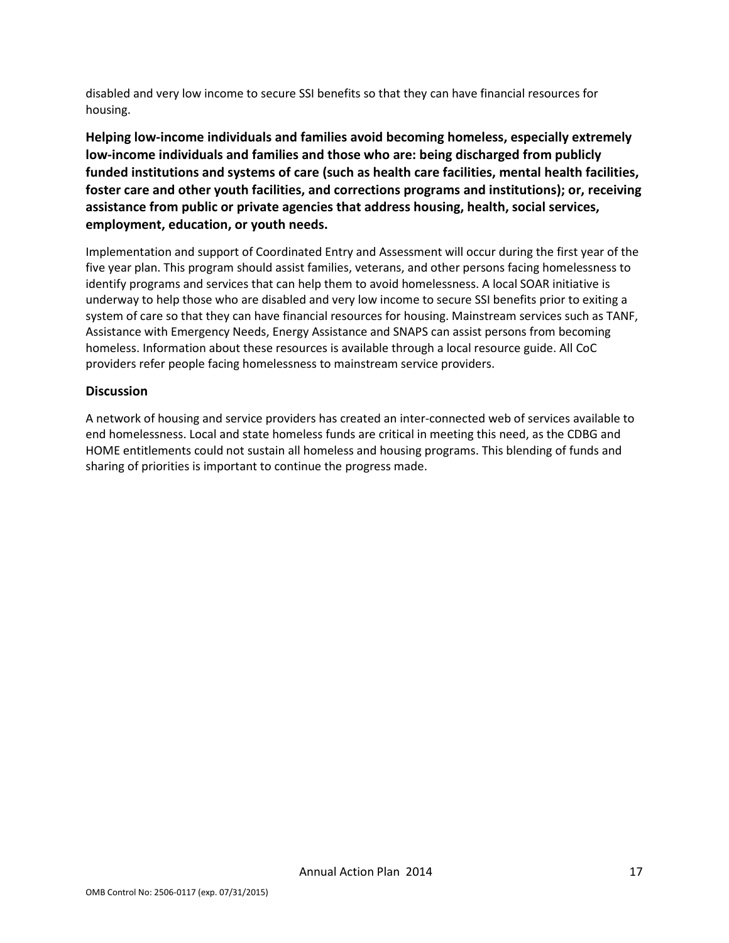disabled and very low income to secure SSI benefits so that they can have financial resources for housing.

Helping low-income individuals and families avoid becoming homeless, especially extremely low-income individuals and families and those who are: being discharged from publicly funded institutions and systems of care (such as health care facilities, mental health facilities, foster care and other youth facilities, and corrections programs and institutions); or, receiving assistance from public or private agencies that address housing, health, social services, employment, education, or youth needs.

Implementation and support of Coordinated Entry and Assessment will occur during the first year of the five year plan. This program should assist families, veterans, and other persons facing homelessness to identify programs and services that can help them to avoid homelessness. A local SOAR initiative is underway to help those who are disabled and very low income to secure SSI benefits prior to exiting a system of care so that they can have financial resources for housing. Mainstream services such as TANF, Assistance with Emergency Needs, Energy Assistance and SNAPS can assist persons from becoming homeless. Information about these resources is available through a local resource guide. All CoC providers refer people facing homelessness to mainstream service providers.

#### **Discussion**

A network of housing and service providers has created an inter-connected web of services available to end homelessness. Local and state homeless funds are critical in meeting this need, as the CDBG and HOME entitlements could not sustain all homeless and housing programs. This blending of funds and sharing of priorities is important to continue the progress made.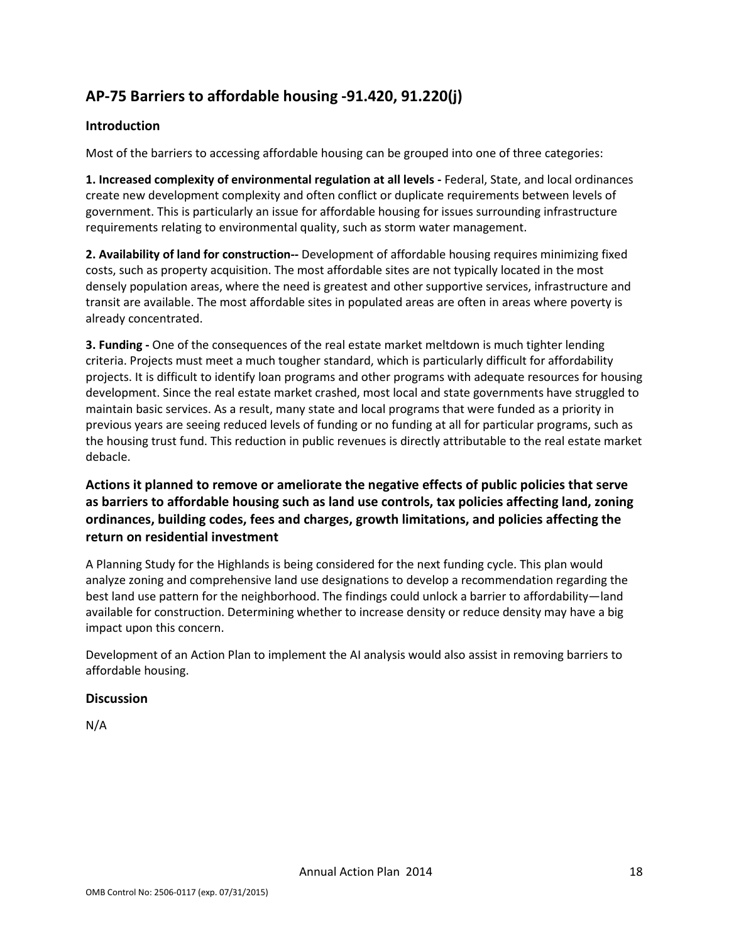# AP-75 Barriers to affordable housing -91.420, 91.220(j)

#### Introduction

Most of the barriers to accessing affordable housing can be grouped into one of three categories:

1. Increased complexity of environmental regulation at all levels - Federal, State, and local ordinances create new development complexity and often conflict or duplicate requirements between levels of government. This is particularly an issue for affordable housing for issues surrounding infrastructure requirements relating to environmental quality, such as storm water management.

2. Availability of land for construction-- Development of affordable housing requires minimizing fixed costs, such as property acquisition. The most affordable sites are not typically located in the most densely population areas, where the need is greatest and other supportive services, infrastructure and transit are available. The most affordable sites in populated areas are often in areas where poverty is already concentrated.

**3. Funding -** One of the consequences of the real estate market meltdown is much tighter lending criteria. Projects must meet a much tougher standard, which is particularly difficult for affordability projects. It is difficult to identify loan programs and other programs with adequate resources for housing development. Since the real estate market crashed, most local and state governments have struggled to maintain basic services. As a result, many state and local programs that were funded as a priority in previous years are seeing reduced levels of funding or no funding at all for particular programs, such as the housing trust fund. This reduction in public revenues is directly attributable to the real estate market debacle.

Actions it planned to remove or ameliorate the negative effects of public policies that serve as barriers to affordable housing such as land use controls, tax policies affecting land, zoning ordinances, building codes, fees and charges, growth limitations, and policies affecting the return on residential investment

A Planning Study for the Highlands is being considered for the next funding cycle. This plan would analyze zoning and comprehensive land use designations to develop a recommendation regarding the best land use pattern for the neighborhood. The findings could unlock a barrier to affordability—land available for construction. Determining whether to increase density or reduce density may have a big impact upon this concern.

Development of an Action Plan to implement the AI analysis would also assist in removing barriers to affordable housing.

#### **Discussion**

N/A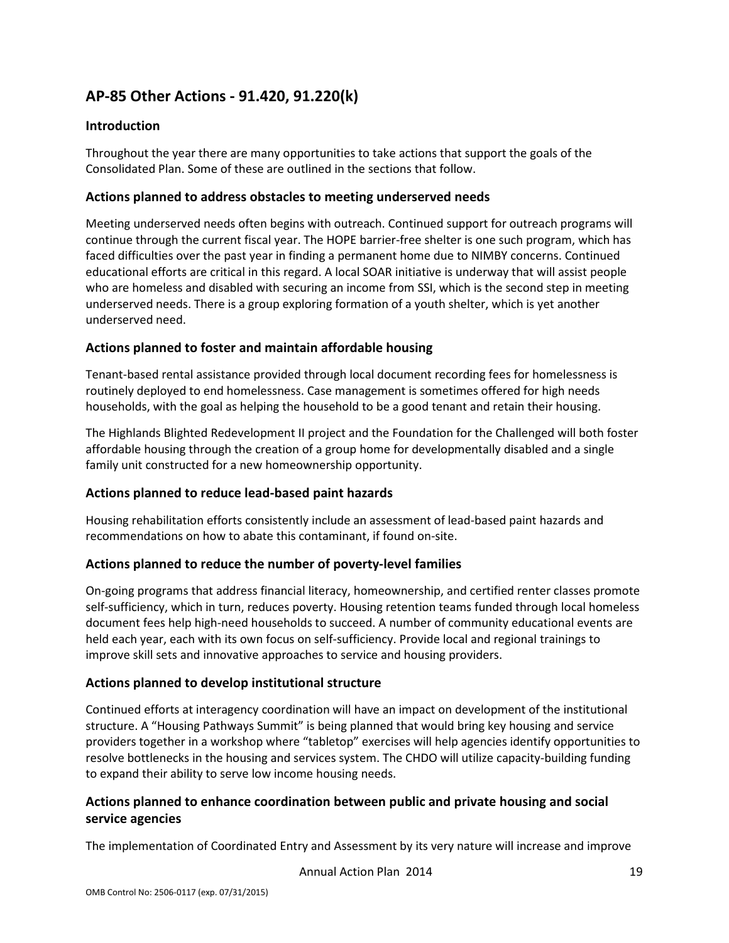# AP-85 Other Actions - 91.420, 91.220(k)

#### Introduction

Throughout the year there are many opportunities to take actions that support the goals of the Consolidated Plan. Some of these are outlined in the sections that follow.

#### Actions planned to address obstacles to meeting underserved needs

Meeting underserved needs often begins with outreach. Continued support for outreach programs will continue through the current fiscal year. The HOPE barrier-free shelter is one such program, which has faced difficulties over the past year in finding a permanent home due to NIMBY concerns. Continued educational efforts are critical in this regard. A local SOAR initiative is underway that will assist people who are homeless and disabled with securing an income from SSI, which is the second step in meeting underserved needs. There is a group exploring formation of a youth shelter, which is yet another underserved need.

#### Actions planned to foster and maintain affordable housing

Tenant-based rental assistance provided through local document recording fees for homelessness is routinely deployed to end homelessness. Case management is sometimes offered for high needs households, with the goal as helping the household to be a good tenant and retain their housing.

The Highlands Blighted Redevelopment II project and the Foundation for the Challenged will both foster affordable housing through the creation of a group home for developmentally disabled and a single family unit constructed for a new homeownership opportunity.

#### Actions planned to reduce lead-based paint hazards

Housing rehabilitation efforts consistently include an assessment of lead-based paint hazards and recommendations on how to abate this contaminant, if found on-site.

#### Actions planned to reduce the number of poverty-level families

On-going programs that address financial literacy, homeownership, and certified renter classes promote self-sufficiency, which in turn, reduces poverty. Housing retention teams funded through local homeless document fees help high-need households to succeed. A number of community educational events are held each year, each with its own focus on self-sufficiency. Provide local and regional trainings to improve skill sets and innovative approaches to service and housing providers.

#### Actions planned to develop institutional structure

Continued efforts at interagency coordination will have an impact on development of the institutional structure. A "Housing Pathways Summit" is being planned that would bring key housing and service providers together in a workshop where "tabletop" exercises will help agencies identify opportunities to resolve bottlenecks in the housing and services system. The CHDO will utilize capacity-building funding to expand their ability to serve low income housing needs.

#### Actions planned to enhance coordination between public and private housing and social service agencies

The implementation of Coordinated Entry and Assessment by its very nature will increase and improve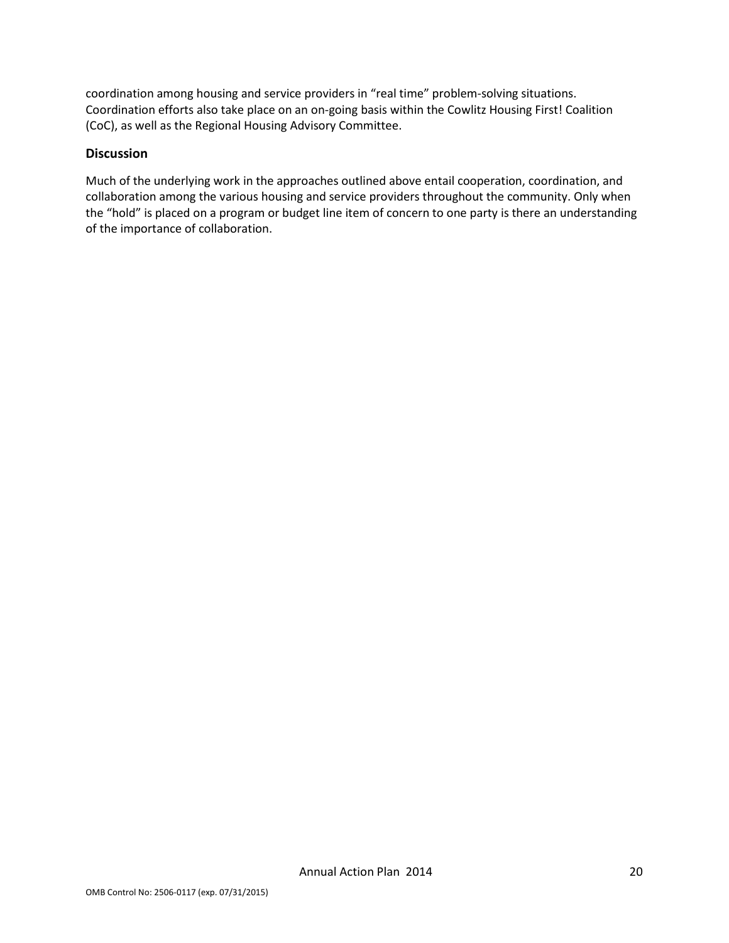coordination among housing and service providers in "real time" problem-solving situations. Coordination efforts also take place on an on-going basis within the Cowlitz Housing First! Coalition (CoC), as well as the Regional Housing Advisory Committee.

#### **Discussion**

Much of the underlying work in the approaches outlined above entail cooperation, coordination, and collaboration among the various housing and service providers throughout the community. Only when the "hold" is placed on a program or budget line item of concern to one party is there an understanding of the importance of collaboration.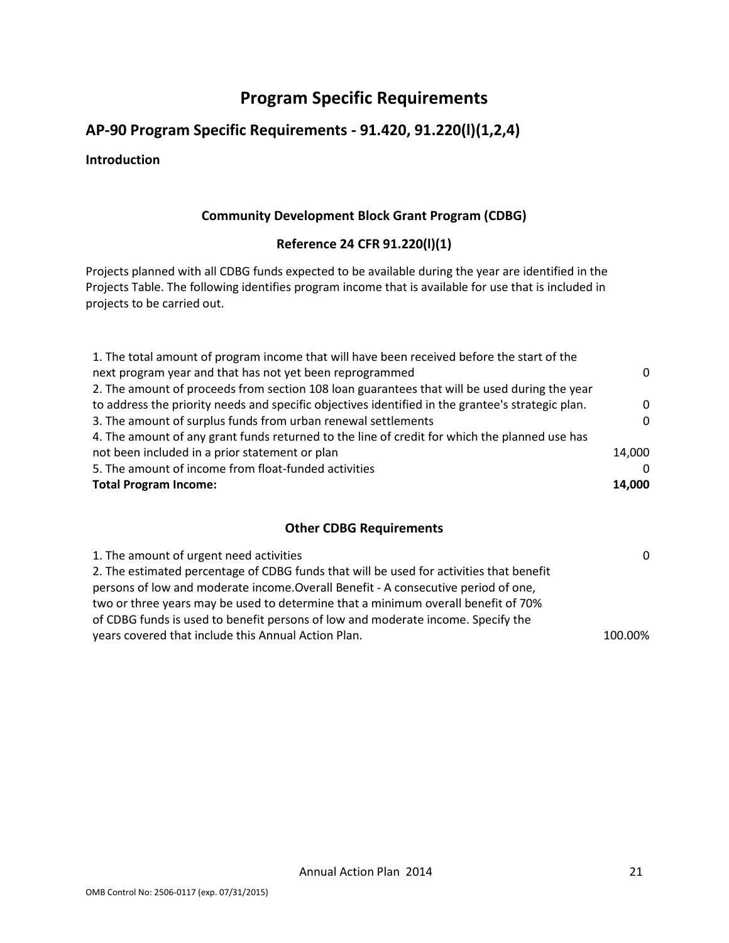# Program Specific Requirements

### AP-90 Program Specific Requirements - 91.420, 91.220(l)(1,2,4)

#### Introduction

#### Community Development Block Grant Program (CDBG)

#### Reference 24 CFR 91.220(l)(1)

Projects planned with all CDBG funds expected to be available during the year are identified in the Projects Table. The following identifies program income that is available for use that is included in projects to be carried out.

| 1. The total amount of program income that will have been received before the start of the        |          |
|---------------------------------------------------------------------------------------------------|----------|
| next program year and that has not yet been reprogrammed                                          | 0        |
| 2. The amount of proceeds from section 108 loan guarantees that will be used during the year      |          |
| to address the priority needs and specific objectives identified in the grantee's strategic plan. | $\Omega$ |
| 3. The amount of surplus funds from urban renewal settlements                                     | $\Omega$ |
| 4. The amount of any grant funds returned to the line of credit for which the planned use has     |          |
| not been included in a prior statement or plan                                                    | 14,000   |
| 5. The amount of income from float-funded activities                                              | $\Omega$ |
| <b>Total Program Income:</b>                                                                      | 14,000   |

#### Other CDBG Requirements

| 1. The amount of urgent need activities                                                 | $\Omega$ |
|-----------------------------------------------------------------------------------------|----------|
| 2. The estimated percentage of CDBG funds that will be used for activities that benefit |          |
| persons of low and moderate income. Overall Benefit - A consecutive period of one,      |          |
| two or three years may be used to determine that a minimum overall benefit of 70%       |          |
| of CDBG funds is used to benefit persons of low and moderate income. Specify the        |          |
| years covered that include this Annual Action Plan.                                     | 100.00%  |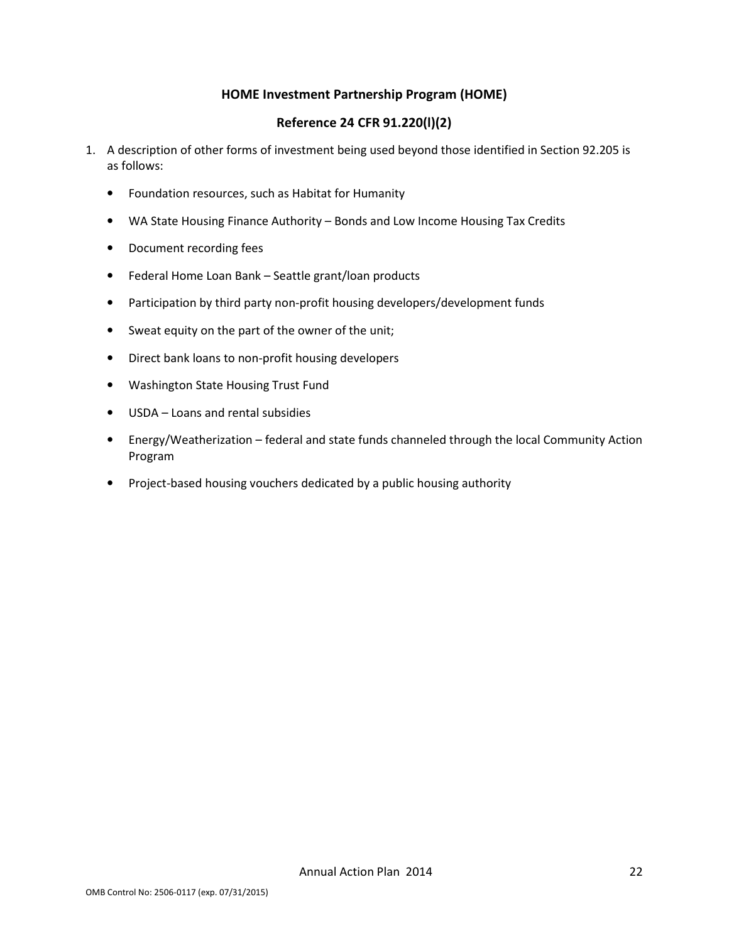#### HOME Investment Partnership Program (HOME)

#### Reference 24 CFR 91.220(l)(2)

- 1. A description of other forms of investment being used beyond those identified in Section 92.205 is as follows:
	- Foundation resources, such as Habitat for Humanity
	- WA State Housing Finance Authority Bonds and Low Income Housing Tax Credits
	- Document recording fees
	- Federal Home Loan Bank Seattle grant/loan products
	- Participation by third party non-profit housing developers/development funds
	- Sweat equity on the part of the owner of the unit;
	- Direct bank loans to non-profit housing developers
	- Washington State Housing Trust Fund
	- USDA Loans and rental subsidies
	- Energy/Weatherization federal and state funds channeled through the local Community Action Program
	- Project-based housing vouchers dedicated by a public housing authority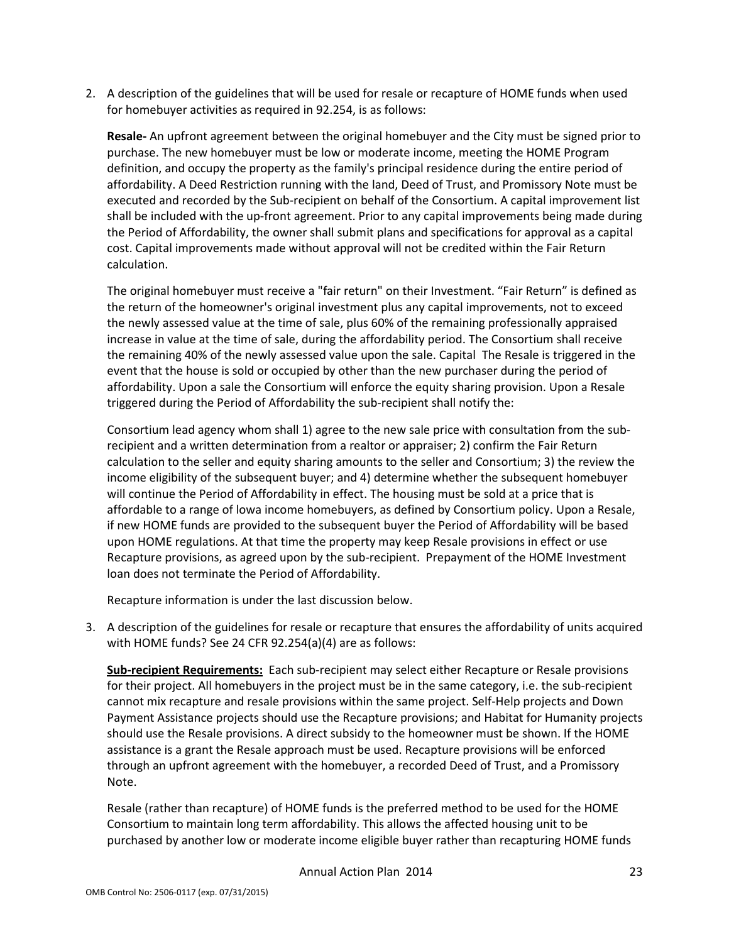2. A description of the guidelines that will be used for resale or recapture of HOME funds when used for homebuyer activities as required in 92.254, is as follows:

Resale- An upfront agreement between the original homebuyer and the City must be signed prior to purchase. The new homebuyer must be low or moderate income, meeting the HOME Program definition, and occupy the property as the family's principal residence during the entire period of affordability. A Deed Restriction running with the land, Deed of Trust, and Promissory Note must be executed and recorded by the Sub-recipient on behalf of the Consortium. A capital improvement list shall be included with the up-front agreement. Prior to any capital improvements being made during the Period of Affordability, the owner shall submit plans and specifications for approval as a capital cost. Capital improvements made without approval will not be credited within the Fair Return calculation.

The original homebuyer must receive a "fair return" on their Investment. "Fair Return" is defined as the return of the homeowner's original investment plus any capital improvements, not to exceed the newly assessed value at the time of sale, plus 60% of the remaining professionally appraised increase in value at the time of sale, during the affordability period. The Consortium shall receive the remaining 40% of the newly assessed value upon the sale. Capital The Resale is triggered in the event that the house is sold or occupied by other than the new purchaser during the period of affordability. Upon a sale the Consortium will enforce the equity sharing provision. Upon a Resale triggered during the Period of Affordability the sub-recipient shall notify the:

Consortium lead agency whom shall 1) agree to the new sale price with consultation from the subrecipient and a written determination from a realtor or appraiser; 2) confirm the Fair Return calculation to the seller and equity sharing amounts to the seller and Consortium; 3) the review the income eligibility of the subsequent buyer; and 4) determine whether the subsequent homebuyer will continue the Period of Affordability in effect. The housing must be sold at a price that is affordable to a range of lowa income homebuyers, as defined by Consortium policy. Upon a Resale, if new HOME funds are provided to the subsequent buyer the Period of Affordability will be based upon HOME regulations. At that time the property may keep Resale provisions in effect or use Recapture provisions, as agreed upon by the sub-recipient. Prepayment of the HOME Investment loan does not terminate the Period of Affordability.

Recapture information is under the last discussion below.

3. A description of the guidelines for resale or recapture that ensures the affordability of units acquired with HOME funds? See 24 CFR 92.254(a)(4) are as follows:

Sub-recipient Requirements: Each sub-recipient may select either Recapture or Resale provisions for their project. All homebuyers in the project must be in the same category, i.e. the sub-recipient cannot mix recapture and resale provisions within the same project. Self-Help projects and Down Payment Assistance projects should use the Recapture provisions; and Habitat for Humanity projects should use the Resale provisions. A direct subsidy to the homeowner must be shown. If the HOME assistance is a grant the Resale approach must be used. Recapture provisions will be enforced through an upfront agreement with the homebuyer, a recorded Deed of Trust, and a Promissory Note.

Resale (rather than recapture) of HOME funds is the preferred method to be used for the HOME Consortium to maintain long term affordability. This allows the affected housing unit to be purchased by another low or moderate income eligible buyer rather than recapturing HOME funds